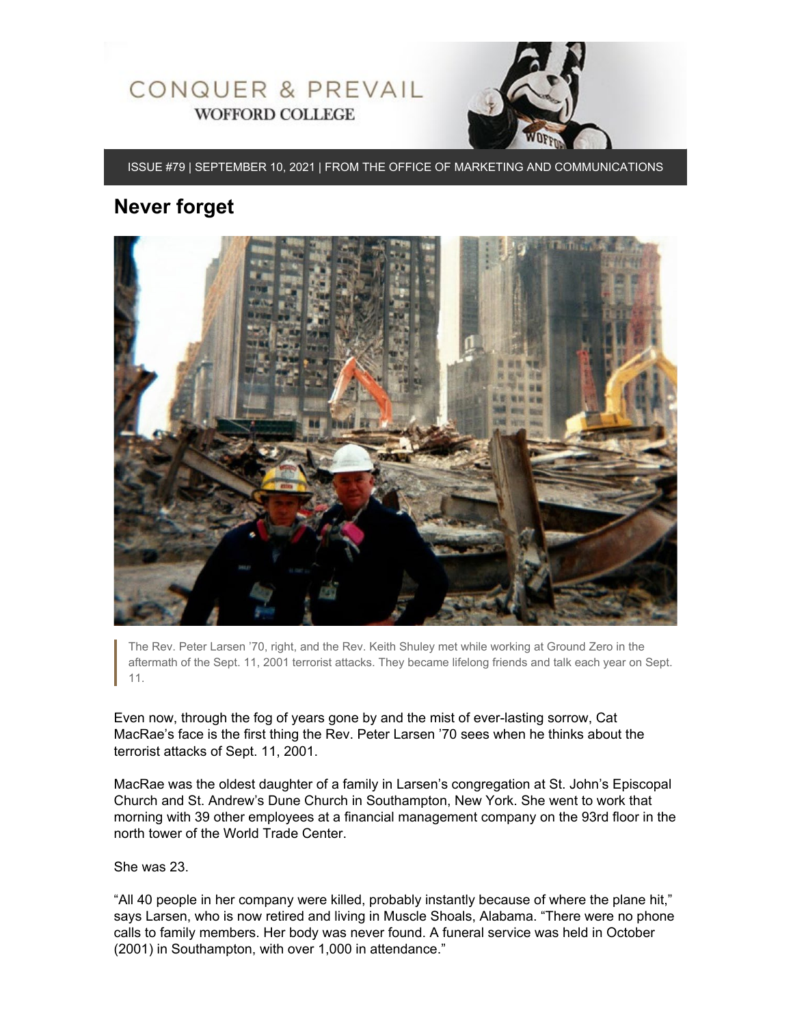

ISSUE #79 | SEPTEMBER 10, 2021 | FROM THE OFFICE OF MARKETING AND COMMUNICATIONS

## **Never forget**



The Rev. Peter Larsen '70, right, and the Rev. Keith Shuley met while working at Ground Zero in the aftermath of the Sept. 11, 2001 terrorist attacks. They became lifelong friends and talk each year on Sept. 11.

Even now, through the fog of years gone by and the mist of ever-lasting sorrow, Cat MacRae's face is the first thing the Rev. Peter Larsen '70 sees when he thinks about the terrorist attacks of Sept. 11, 2001.

MacRae was the oldest daughter of a family in Larsen's congregation at St. John's Episcopal Church and St. Andrew's Dune Church in Southampton, New York. She went to work that morning with 39 other employees at a financial management company on the 93rd floor in the north tower of the World Trade Center.

She was 23.

"All 40 people in her company were killed, probably instantly because of where the plane hit," says Larsen, who is now retired and living in Muscle Shoals, Alabama. "There were no phone calls to family members. Her body was never found. A funeral service was held in October (2001) in Southampton, with over 1,000 in attendance."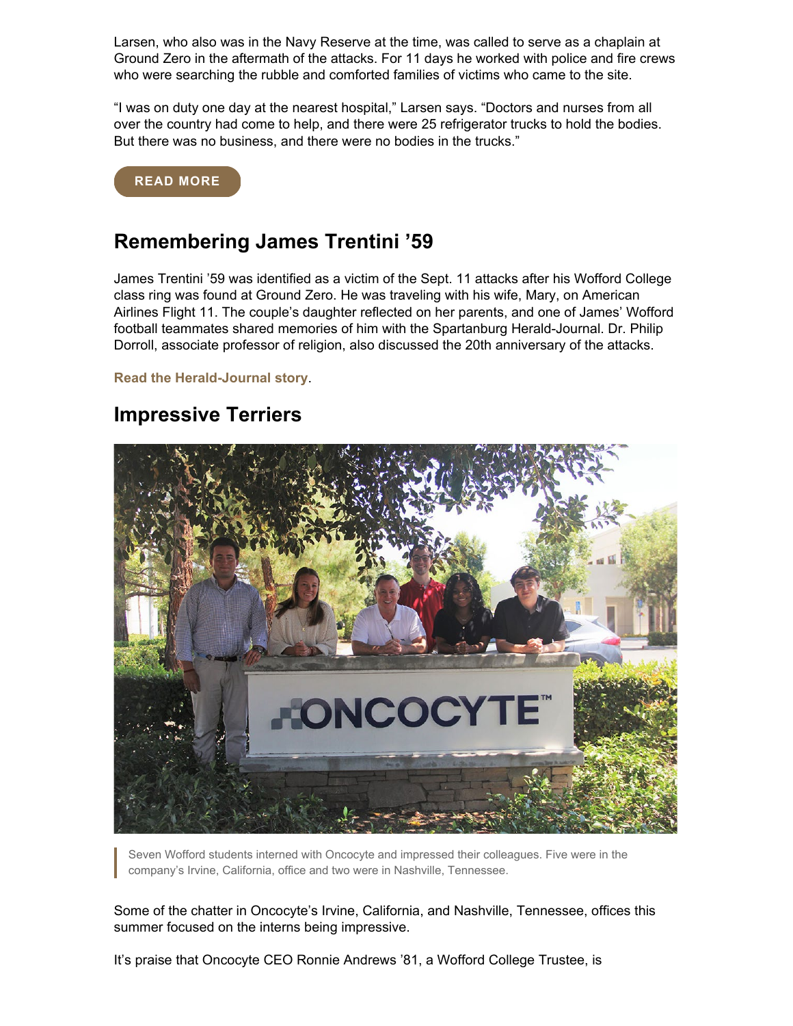Larsen, who also was in the Navy Reserve at the time, was called to serve as a chaplain at Ground Zero in the aftermath of the attacks. For 11 days he worked with police and fire crews who were searching the rubble and comforted families of victims who came to the site.

"I was on duty one day at the nearest hospital," Larsen says. "Doctors and nurses from all over the country had come to help, and there were 25 refrigerator trucks to hold the bodies. But there was no business, and there were no bodies in the trucks."

#### **[READ MORE](https://www.wofford.edu/about/news/news-archives/2021/never-forget)**

## **Remembering James Trentini '59**

James Trentini '59 was identified as a victim of the Sept. 11 attacks after his Wofford College class ring was found at Ground Zero. He was traveling with his wife, Mary, on American Airlines Flight 11. The couple's daughter reflected on her parents, and one of James' Wofford football teammates shared memories of him with the Spartanburg Herald-Journal. Dr. Philip Dorroll, associate professor of religion, also discussed the 20th anniversary of the attacks.

#### **[Read](https://www.goupstate.com/story/news/local/2021/09/08/sept-11-attacks-victim-identified-wofford-class-ring-spartanburg/8144197002/) [the Herald-Journal story](https://www.goupstate.com/story/news/local/2021/09/08/sept-11-attacks-victim-identified-wofford-class-ring-spartanburg/8144197002/)**.

### **Impressive Terriers**



Seven Wofford students interned with Oncocyte and impressed their colleagues. Five were in the company's Irvine, California, office and two were in Nashville, Tennessee.

Some of the chatter in Oncocyte's Irvine, California, and Nashville, Tennessee, offices this summer focused on the interns being impressive.

It's praise that Oncocyte CEO Ronnie Andrews '81, a Wofford College Trustee, is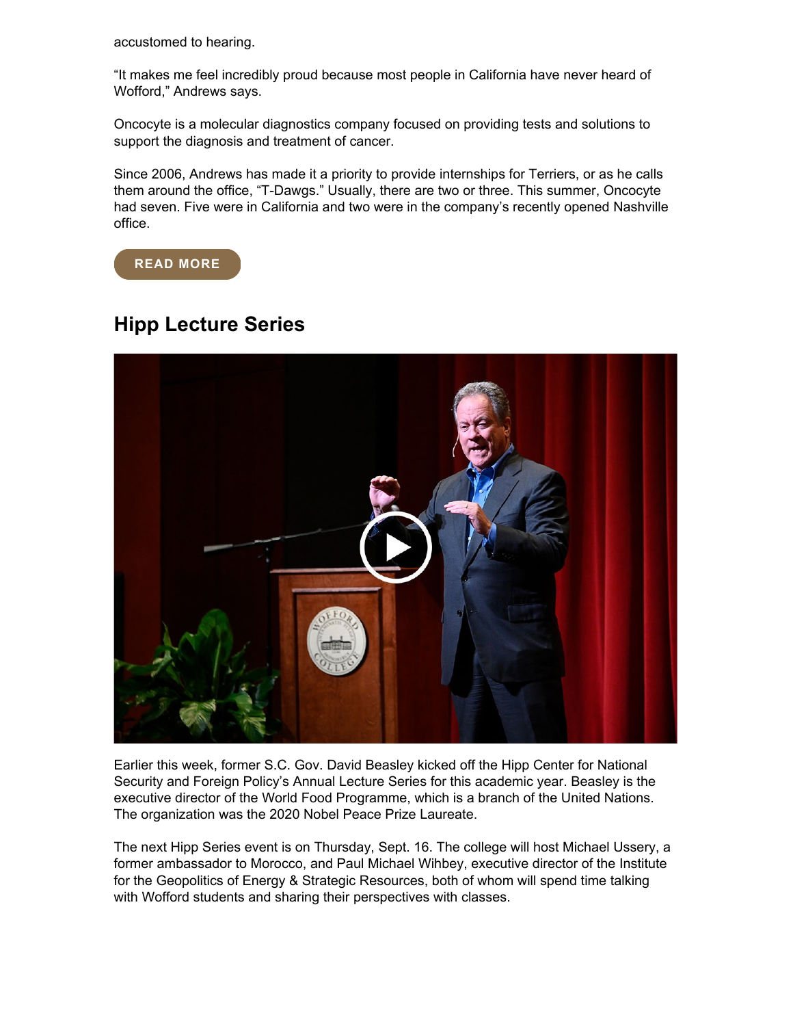accustomed to hearing.

"It makes me feel incredibly proud because most people in California have never heard of Wofford," Andrews says.

Oncocyte is a molecular diagnostics company focused on providing tests and solutions to support the diagnosis and treatment of cancer.

Since 2006, Andrews has made it a priority to provide internships for Terriers, or as he calls them around the office, "T-Dawgs." Usually, there are two or three. This summer, Oncocyte had seven. Five were in California and two were in the company's recently opened Nashville office.



# **Hipp Lecture Series**



Earlier this week, former S.C. Gov. David Beasley kicked off the Hipp Center for National Security and Foreign Policy's Annual Lecture Series for this academic year. Beasley is the executive director of the World Food Programme, which is a branch of the United Nations. The organization was the 2020 Nobel Peace Prize Laureate.

The next Hipp Series event is on Thursday, Sept. 16. The college will host Michael Ussery, a former ambassador to Morocco, and Paul Michael Wihbey, executive director of the Institute for the Geopolitics of Energy & Strategic Resources, both of whom will spend time talking with Wofford students and sharing their perspectives with classes.